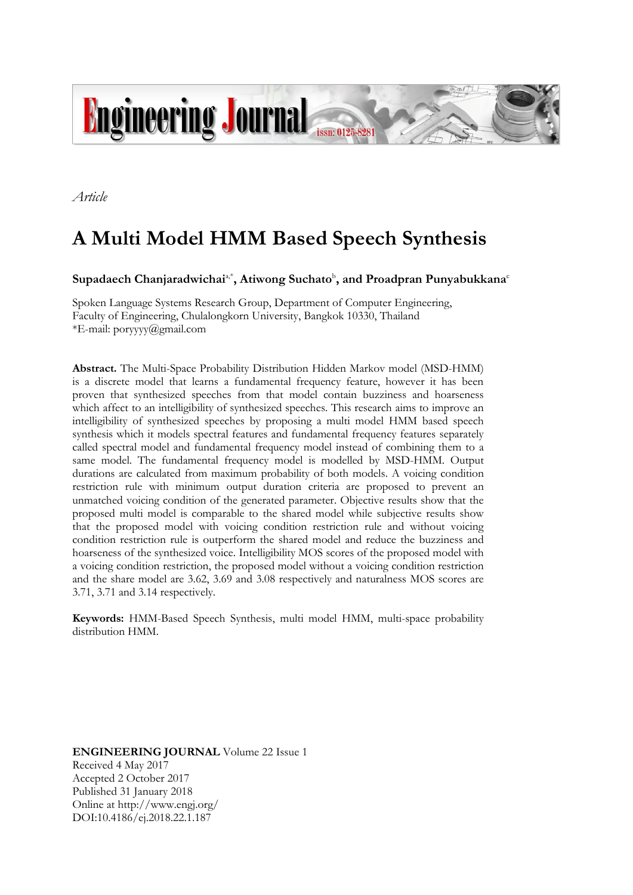

*Article*

# **A Multi Model HMM Based Speech Synthesis**

# Supadaech Chanjaradwichai<sup>a,\*</sup>, Atiwong Suchato<sup>b</sup>, and Proadpran Punyabukkana<sup>c</sup>

Spoken Language Systems Research Group, Department of Computer Engineering, Faculty of Engineering, Chulalongkorn University, Bangkok 10330, Thailand \*E-mail: poryyyy@gmail.com

**Abstract.** The Multi-Space Probability Distribution Hidden Markov model (MSD-HMM) is a discrete model that learns a fundamental frequency feature, however it has been proven that synthesized speeches from that model contain buzziness and hoarseness which affect to an intelligibility of synthesized speeches. This research aims to improve an intelligibility of synthesized speeches by proposing a multi model HMM based speech synthesis which it models spectral features and fundamental frequency features separately called spectral model and fundamental frequency model instead of combining them to a same model. The fundamental frequency model is modelled by MSD-HMM. Output durations are calculated from maximum probability of both models. A voicing condition restriction rule with minimum output duration criteria are proposed to prevent an unmatched voicing condition of the generated parameter. Objective results show that the proposed multi model is comparable to the shared model while subjective results show that the proposed model with voicing condition restriction rule and without voicing condition restriction rule is outperform the shared model and reduce the buzziness and hoarseness of the synthesized voice. Intelligibility MOS scores of the proposed model with a voicing condition restriction, the proposed model without a voicing condition restriction and the share model are 3.62, 3.69 and 3.08 respectively and naturalness MOS scores are 3.71, 3.71 and 3.14 respectively.

**Keywords:** HMM-Based Speech Synthesis, multi model HMM, multi-space probability distribution HMM.

**ENGINEERING JOURNAL** Volume 22 Issue 1 Received 4 May 2017 Accepted 2 October 2017 Published 31 January 2018 Online at http://www.engj.org/ DOI:10.4186/ej.2018.22.1.187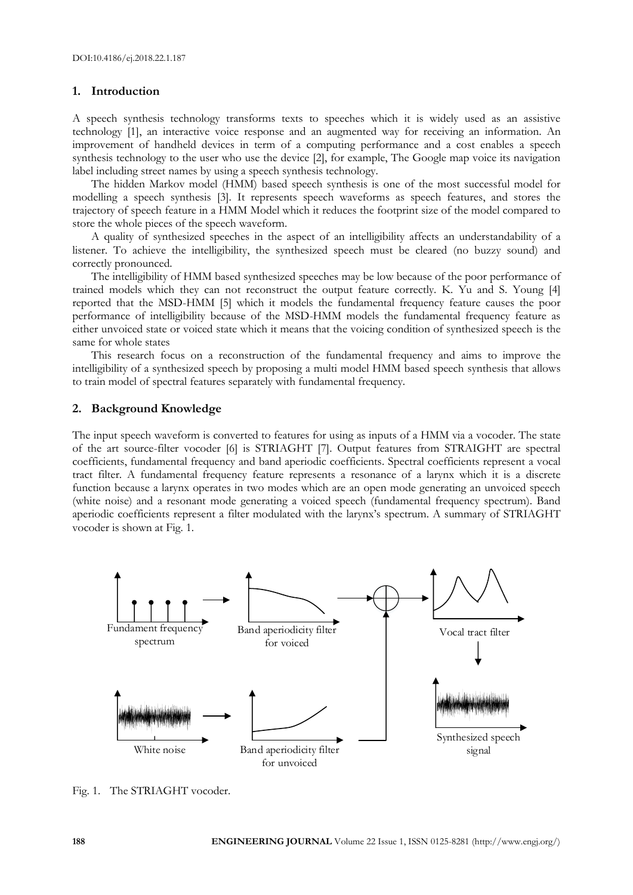# **1. Introduction**

A speech synthesis technology transforms texts to speeches which it is widely used as an assistive technology [1], an interactive voice response and an augmented way for receiving an information. An improvement of handheld devices in term of a computing performance and a cost enables a speech synthesis technology to the user who use the device [2], for example, The Google map voice its navigation label including street names by using a speech synthesis technology.

The hidden Markov model (HMM) based speech synthesis is one of the most successful model for modelling a speech synthesis [3]. It represents speech waveforms as speech features, and stores the trajectory of speech feature in a HMM Model which it reduces the footprint size of the model compared to store the whole pieces of the speech waveform.

A quality of synthesized speeches in the aspect of an intelligibility affects an understandability of a listener. To achieve the intelligibility, the synthesized speech must be cleared (no buzzy sound) and correctly pronounced.

The intelligibility of HMM based synthesized speeches may be low because of the poor performance of trained models which they can not reconstruct the output feature correctly. K. Yu and S. Young [4] reported that the MSD-HMM [5] which it models the fundamental frequency feature causes the poor performance of intelligibility because of the MSD-HMM models the fundamental frequency feature as either unvoiced state or voiced state which it means that the voicing condition of synthesized speech is the same for whole states

This research focus on a reconstruction of the fundamental frequency and aims to improve the intelligibility of a synthesized speech by proposing a multi model HMM based speech synthesis that allows to train model of spectral features separately with fundamental frequency.

#### **2. Background Knowledge**

The input speech waveform is converted to features for using as inputs of a HMM via a vocoder. The state of the art source-filter vocoder [6] is STRIAGHT [7]. Output features from STRAIGHT are spectral coefficients, fundamental frequency and band aperiodic coefficients. Spectral coefficients represent a vocal tract filter. A fundamental frequency feature represents a resonance of a larynx which it is a discrete function because a larynx operates in two modes which are an open mode generating an unvoiced speech (white noise) and a resonant mode generating a voiced speech (fundamental frequency spectrum). Band aperiodic coefficients represent a filter modulated with the larynx's spectrum. A summary of STRIAGHT vocoder is shown at Fig. 1.



Fig. 1. The STRIAGHT vocoder.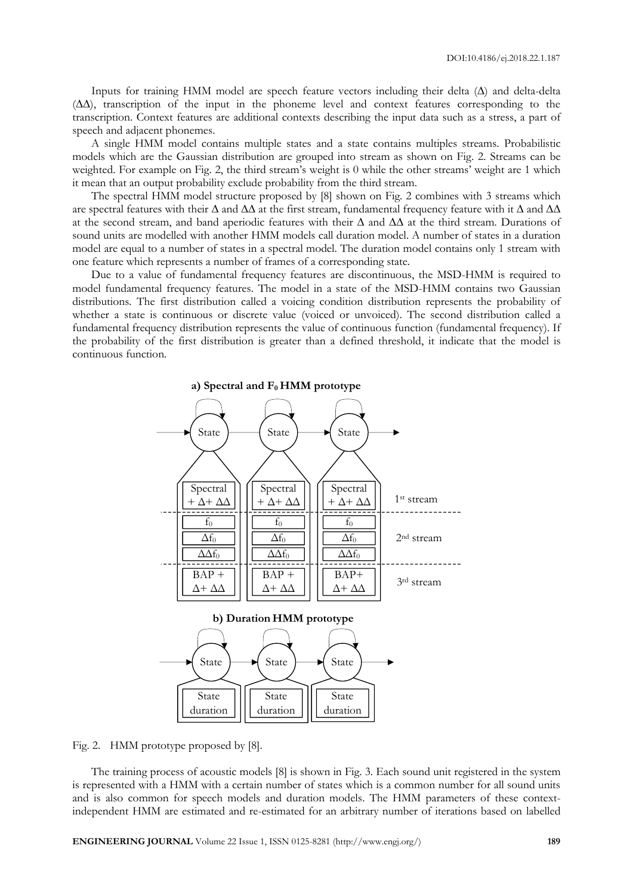Inputs for training HMM model are speech feature vectors including their delta (∆) and delta-delta (∆∆), transcription of the input in the phoneme level and context features corresponding to the transcription. Context features are additional contexts describing the input data such as a stress, a part of speech and adjacent phonemes.

A single HMM model contains multiple states and a state contains multiples streams. Probabilistic models which are the Gaussian distribution are grouped into stream as shown on Fig. 2. Streams can be weighted. For example on Fig. 2, the third stream's weight is 0 while the other streams' weight are 1 which it mean that an output probability exclude probability from the third stream.

The spectral HMM model structure proposed by [8] shown on Fig. 2 combines with 3 streams which are spectral features with their ∆ and ∆∆ at the first stream, fundamental frequency feature with it ∆ and ∆∆ at the second stream, and band aperiodic features with their ∆ and ∆∆ at the third stream. Durations of sound units are modelled with another HMM models call duration model. A number of states in a duration model are equal to a number of states in a spectral model. The duration model contains only 1 stream with one feature which represents a number of frames of a corresponding state.

Due to a value of fundamental frequency features are discontinuous, the MSD-HMM is required to model fundamental frequency features. The model in a state of the MSD-HMM contains two Gaussian distributions. The first distribution called a voicing condition distribution represents the probability of whether a state is continuous or discrete value (voiced or unvoiced). The second distribution called a fundamental frequency distribution represents the value of continuous function (fundamental frequency). If the probability of the first distribution is greater than a defined threshold, it indicate that the model is continuous function.



Fig. 2. HMM prototype proposed by [8].

The training process of acoustic models [8] is shown in Fig. 3. Each sound unit registered in the system is represented with a HMM with a certain number of states which is a common number for all sound units and is also common for speech models and duration models. The HMM parameters of these contextindependent HMM are estimated and re-estimated for an arbitrary number of iterations based on labelled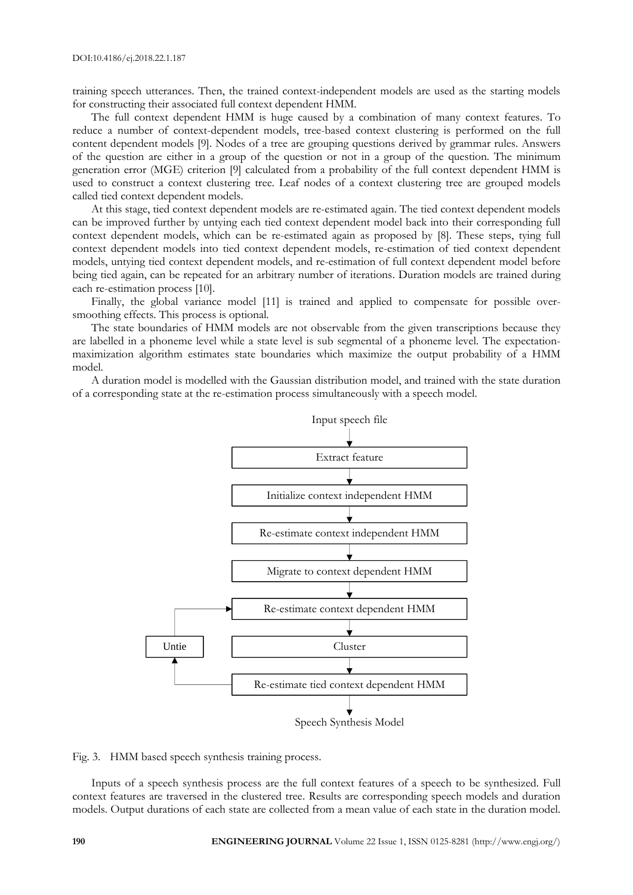training speech utterances. Then, the trained context-independent models are used as the starting models for constructing their associated full context dependent HMM.

The full context dependent HMM is huge caused by a combination of many context features. To reduce a number of context-dependent models, tree-based context clustering is performed on the full content dependent models [9]. Nodes of a tree are grouping questions derived by grammar rules. Answers of the question are either in a group of the question or not in a group of the question. The minimum generation error (MGE) criterion [9] calculated from a probability of the full context dependent HMM is used to construct a context clustering tree. Leaf nodes of a context clustering tree are grouped models called tied context dependent models.

At this stage, tied context dependent models are re-estimated again. The tied context dependent models can be improved further by untying each tied context dependent model back into their corresponding full context dependent models, which can be re-estimated again as proposed by [8]. These steps, tying full context dependent models into tied context dependent models, re-estimation of tied context dependent models, untying tied context dependent models, and re-estimation of full context dependent model before being tied again, can be repeated for an arbitrary number of iterations. Duration models are trained during each re-estimation process [10].

Finally, the global variance model [11] is trained and applied to compensate for possible oversmoothing effects. This process is optional.

The state boundaries of HMM models are not observable from the given transcriptions because they are labelled in a phoneme level while a state level is sub segmental of a phoneme level. The expectationmaximization algorithm estimates state boundaries which maximize the output probability of a HMM model.

A duration model is modelled with the Gaussian distribution model, and trained with the state duration of a corresponding state at the re-estimation process simultaneously with a speech model.





Inputs of a speech synthesis process are the full context features of a speech to be synthesized. Full context features are traversed in the clustered tree. Results are corresponding speech models and duration models. Output durations of each state are collected from a mean value of each state in the duration model.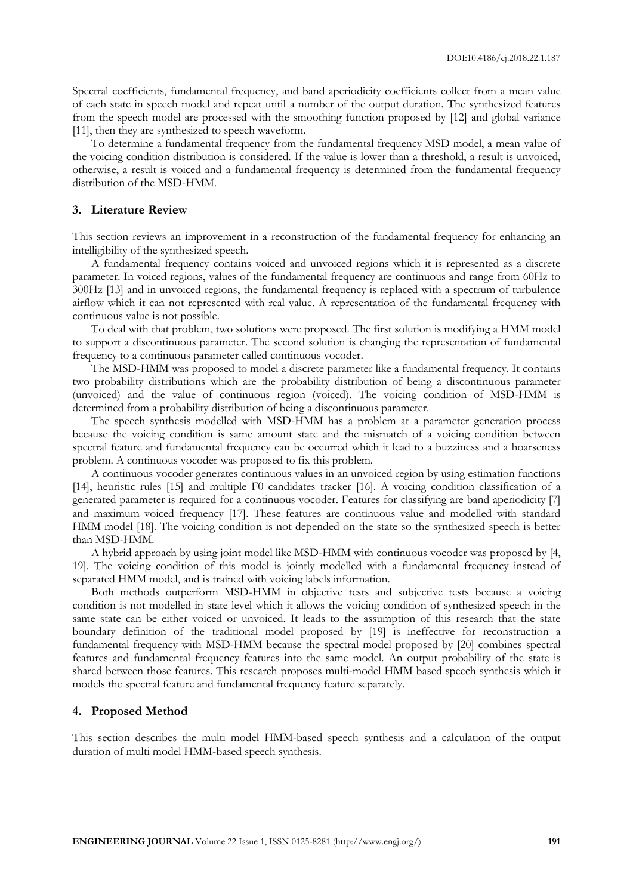Spectral coefficients, fundamental frequency, and band aperiodicity coefficients collect from a mean value of each state in speech model and repeat until a number of the output duration. The synthesized features from the speech model are processed with the smoothing function proposed by [12] and global variance [11], then they are synthesized to speech waveform.

To determine a fundamental frequency from the fundamental frequency MSD model, a mean value of the voicing condition distribution is considered. If the value is lower than a threshold, a result is unvoiced, otherwise, a result is voiced and a fundamental frequency is determined from the fundamental frequency distribution of the MSD-HMM.

# **3. Literature Review**

This section reviews an improvement in a reconstruction of the fundamental frequency for enhancing an intelligibility of the synthesized speech.

A fundamental frequency contains voiced and unvoiced regions which it is represented as a discrete parameter. In voiced regions, values of the fundamental frequency are continuous and range from 60Hz to 300Hz [13] and in unvoiced regions, the fundamental frequency is replaced with a spectrum of turbulence airflow which it can not represented with real value. A representation of the fundamental frequency with continuous value is not possible.

To deal with that problem, two solutions were proposed. The first solution is modifying a HMM model to support a discontinuous parameter. The second solution is changing the representation of fundamental frequency to a continuous parameter called continuous vocoder.

The MSD-HMM was proposed to model a discrete parameter like a fundamental frequency. It contains two probability distributions which are the probability distribution of being a discontinuous parameter (unvoiced) and the value of continuous region (voiced). The voicing condition of MSD-HMM is determined from a probability distribution of being a discontinuous parameter.

The speech synthesis modelled with MSD-HMM has a problem at a parameter generation process because the voicing condition is same amount state and the mismatch of a voicing condition between spectral feature and fundamental frequency can be occurred which it lead to a buzziness and a hoarseness problem. A continuous vocoder was proposed to fix this problem.

A continuous vocoder generates continuous values in an unvoiced region by using estimation functions [14], heuristic rules [15] and multiple F0 candidates tracker [16]. A voicing condition classification of a generated parameter is required for a continuous vocoder. Features for classifying are band aperiodicity [7] and maximum voiced frequency [17]. These features are continuous value and modelled with standard HMM model [18]. The voicing condition is not depended on the state so the synthesized speech is better than MSD-HMM.

A hybrid approach by using joint model like MSD-HMM with continuous vocoder was proposed by [4, 19]. The voicing condition of this model is jointly modelled with a fundamental frequency instead of separated HMM model, and is trained with voicing labels information.

Both methods outperform MSD-HMM in objective tests and subjective tests because a voicing condition is not modelled in state level which it allows the voicing condition of synthesized speech in the same state can be either voiced or unvoiced. It leads to the assumption of this research that the state boundary definition of the traditional model proposed by [19] is ineffective for reconstruction a fundamental frequency with MSD-HMM because the spectral model proposed by [20] combines spectral features and fundamental frequency features into the same model. An output probability of the state is shared between those features. This research proposes multi-model HMM based speech synthesis which it models the spectral feature and fundamental frequency feature separately.

# **4. Proposed Method**

This section describes the multi model HMM-based speech synthesis and a calculation of the output duration of multi model HMM-based speech synthesis.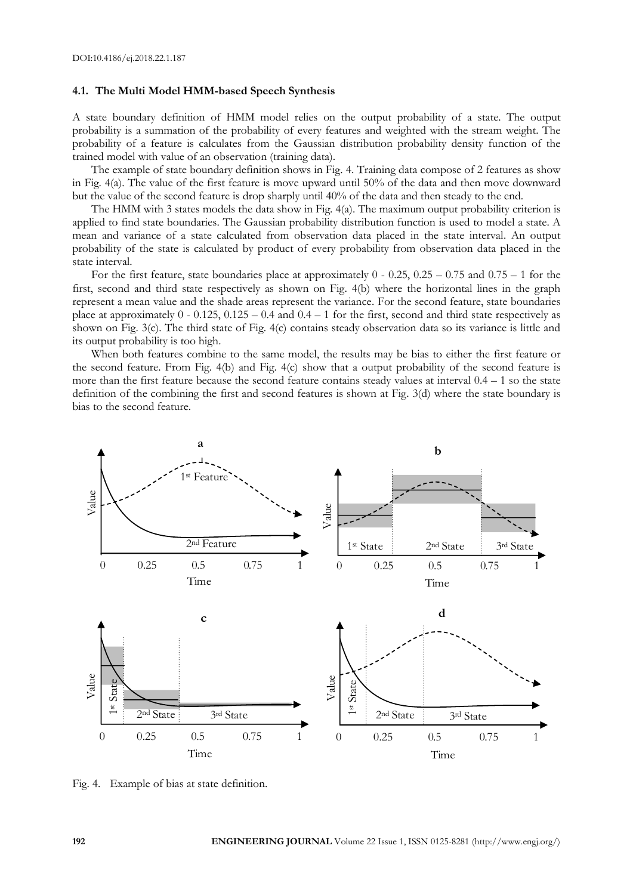#### **4.1. The Multi Model HMM-based Speech Synthesis**

A state boundary definition of HMM model relies on the output probability of a state. The output probability is a summation of the probability of every features and weighted with the stream weight. The probability of a feature is calculates from the Gaussian distribution probability density function of the trained model with value of an observation (training data).

The example of state boundary definition shows in Fig. 4. Training data compose of 2 features as show in Fig. 4(a). The value of the first feature is move upward until 50% of the data and then move downward but the value of the second feature is drop sharply until 40% of the data and then steady to the end.

The HMM with 3 states models the data show in Fig. 4(a). The maximum output probability criterion is applied to find state boundaries. The Gaussian probability distribution function is used to model a state. A mean and variance of a state calculated from observation data placed in the state interval. An output probability of the state is calculated by product of every probability from observation data placed in the state interval.

For the first feature, state boundaries place at approximately  $0 - 0.25$ ,  $0.25 - 0.75$  and  $0.75 - 1$  for the first, second and third state respectively as shown on Fig. 4(b) where the horizontal lines in the graph represent a mean value and the shade areas represent the variance. For the second feature, state boundaries place at approximately  $0 - 0.125$ ,  $0.125 - 0.4$  and  $0.4 - 1$  for the first, second and third state respectively as shown on Fig. 3(c). The third state of Fig. 4(c) contains steady observation data so its variance is little and its output probability is too high.

When both features combine to the same model, the results may be bias to either the first feature or the second feature. From Fig. 4(b) and Fig. 4(c) show that a output probability of the second feature is more than the first feature because the second feature contains steady values at interval 0.4 – 1 so the state definition of the combining the first and second features is shown at Fig. 3(d) where the state boundary is bias to the second feature.



Fig. 4. Example of bias at state definition.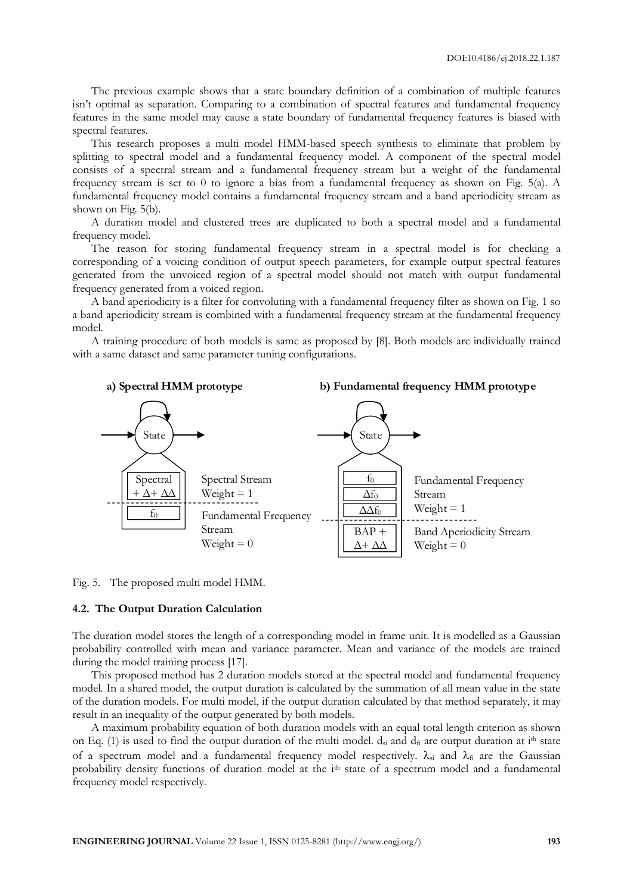The previous example shows that a state boundary definition of a combination of multiple features isn't optimal as separation. Comparing to a combination of spectral features and fundamental frequency features in the same model may cause a state boundary of fundamental frequency features is biased with spectral features.

This research proposes a multi model HMM-based speech synthesis to eliminate that problem by splitting to spectral model and a fundamental frequency model. A component of the spectral model consists of a spectral stream and a fundamental frequency stream but a weight of the fundamental frequency stream is set to 0 to ignore a bias from a fundamental frequency as shown on Fig. 5(a). A fundamental frequency model contains a fundamental frequency stream and a band aperiodicity stream as shown on Fig. 5(b).

A duration model and clustered trees are duplicated to both a spectral model and a fundamental frequency model.

The reason for storing fundamental frequency stream in a spectral model is for checking a corresponding of a voicing condition of output speech parameters, for example output spectral features generated from the unvoiced region of a spectral model should not match with output fundamental frequency generated from a voiced region.

A band aperiodicity is a filter for convoluting with a fundamental frequency filter as shown on Fig. 1 so a band aperiodicity stream is combined with a fundamental frequency stream at the fundamental frequency model.

A training procedure of both models is same as proposed by [8]. Both models are individually trained with a same dataset and same parameter tuning configurations.

![](_page_6_Figure_7.jpeg)

Fig. 5. The proposed multi model HMM.

#### **4.2. The Output Duration Calculation**

The duration model stores the length of a corresponding model in frame unit. It is modelled as a Gaussian probability controlled with mean and variance parameter. Mean and variance of the models are trained during the model training process [17].

This proposed method has 2 duration models stored at the spectral model and fundamental frequency model. In a shared model, the output duration is calculated by the summation of all mean value in the state of the duration models. For multi model, if the output duration calculated by that method separately, it may result in an inequality of the output generated by both models.

A maximum probability equation of both duration models with an equal total length criterion as shown on Eq. (1) is used to find the output duration of the multi model.  $d_{si}$  and  $d_{fi}$  are output duration at i<sup>th</sup> state of a spectrum model and a fundamental frequency model respectively.  $\lambda_{si}$  and  $\lambda_{fi}$  are the Gaussian probability density functions of duration model at the i<sup>th</sup> state of a spectrum model and a fundamental frequency model respectively.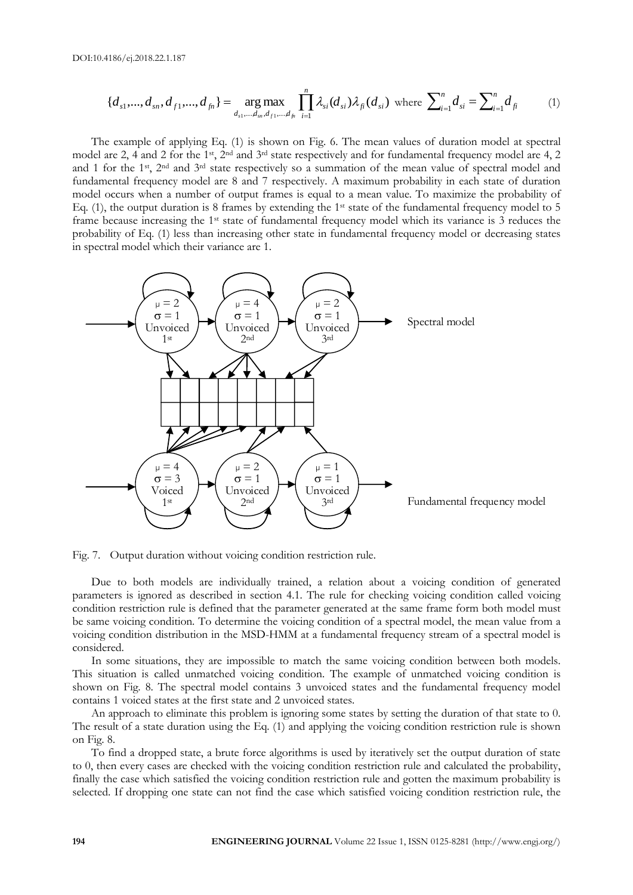$$
\{d_{s1},...,d_{sn},d_{f1},...,d_{fn}\} = \underset{d_{s1},...,d_{sn},d_{f1},...,d_{fn}}{\arg \max} \prod_{i=1}^{n} \lambda_{si}(d_{si}) \lambda_{fi}(d_{si}) \text{ where } \sum_{i=1}^{n} d_{si} = \sum_{i=1}^{n} d_{fi} \tag{1}
$$

The example of applying Eq. (1) is shown on Fig. 6. The mean values of duration model at spectral model are 2, 4 and 2 for the 1st, 2nd and 3rd state respectively and for fundamental frequency model are 4, 2 and 1 for the 1st, 2nd and 3rd state respectively so a summation of the mean value of spectral model and fundamental frequency model are 8 and 7 respectively. A maximum probability in each state of duration model occurs when a number of output frames is equal to a mean value. To maximize the probability of Eq. (1), the output duration is 8 frames by extending the 1<sup>st</sup> state of the fundamental frequency model to 5 frame because increasing the 1st state of fundamental frequency model which its variance is 3 reduces the probability of Eq. (1) less than increasing other state in fundamental frequency model or decreasing states in spectral model which their variance are 1.

![](_page_7_Figure_3.jpeg)

Fig. 7. Output duration without voicing condition restriction rule.

Due to both models are individually trained, a relation about a voicing condition of generated parameters is ignored as described in section 4.1. The rule for checking voicing condition called voicing condition restriction rule is defined that the parameter generated at the same frame form both model must be same voicing condition. To determine the voicing condition of a spectral model, the mean value from a voicing condition distribution in the MSD-HMM at a fundamental frequency stream of a spectral model is considered.

In some situations, they are impossible to match the same voicing condition between both models. This situation is called unmatched voicing condition. The example of unmatched voicing condition is shown on Fig. 8. The spectral model contains 3 unvoiced states and the fundamental frequency model contains 1 voiced states at the first state and 2 unvoiced states.

An approach to eliminate this problem is ignoring some states by setting the duration of that state to 0. The result of a state duration using the Eq. (1) and applying the voicing condition restriction rule is shown on Fig. 8.

To find a dropped state, a brute force algorithms is used by iteratively set the output duration of state to 0, then every cases are checked with the voicing condition restriction rule and calculated the probability, finally the case which satisfied the voicing condition restriction rule and gotten the maximum probability is selected. If dropping one state can not find the case which satisfied voicing condition restriction rule, the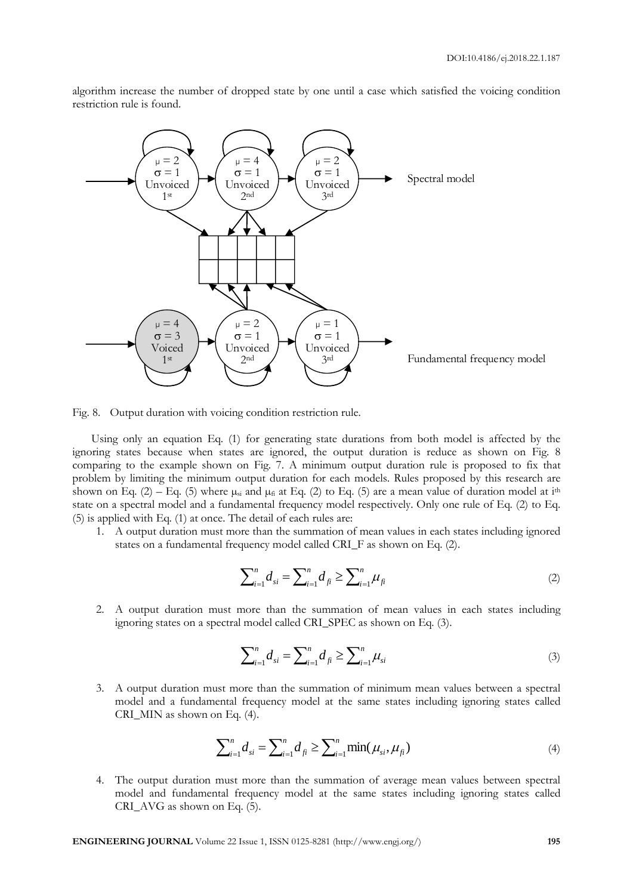algorithm increase the number of dropped state by one until a case which satisfied the voicing condition restriction rule is found.

![](_page_8_Figure_2.jpeg)

Fig. 8. Output duration with voicing condition restriction rule.

Using only an equation Eq. (1) for generating state durations from both model is affected by the ignoring states because when states are ignored, the output duration is reduce as shown on Fig. 8 comparing to the example shown on Fig. 7. A minimum output duration rule is proposed to fix that problem by limiting the minimum output duration for each models. Rules proposed by this research are shown on Eq. (2) – Eq. (5) where  $\mu_{si}$  and  $\mu_{fi}$  at Eq. (2) to Eq. (5) are a mean value of duration model at i<sup>th</sup> state on a spectral model and a fundamental frequency model respectively. Only one rule of Eq. (2) to Eq. (5) is applied with Eq. (1) at once. The detail of each rules are:

1. A output duration must more than the summation of mean values in each states including ignored states on a fundamental frequency model called CRI\_F as shown on Eq. (2).

$$
\sum_{i=1}^{n} d_{si} = \sum_{i=1}^{n} d_{fi} \ge \sum_{i=1}^{n} \mu_{fi}
$$
 (2)

2. A output duration must more than the summation of mean values in each states including ignoring states on a spectral model called CRI\_SPEC as shown on Eq. (3).

$$
\sum_{i=1}^{n} d_{si} = \sum_{i=1}^{n} d_{fi} \ge \sum_{i=1}^{n} \mu_{si}
$$
 (3)

3. A output duration must more than the summation of minimum mean values between a spectral model and a fundamental frequency model at the same states including ignoring states called CRI\_MIN as shown on Eq. (4).

$$
\sum_{i=1}^{n} d_{si} = \sum_{i=1}^{n} d_{fi} \ge \sum_{i=1}^{n} \min(\mu_{si}, \mu_{fi})
$$
\n(4)

4. The output duration must more than the summation of average mean values between spectral model and fundamental frequency model at the same states including ignoring states called CRI\_AVG as shown on Eq. (5).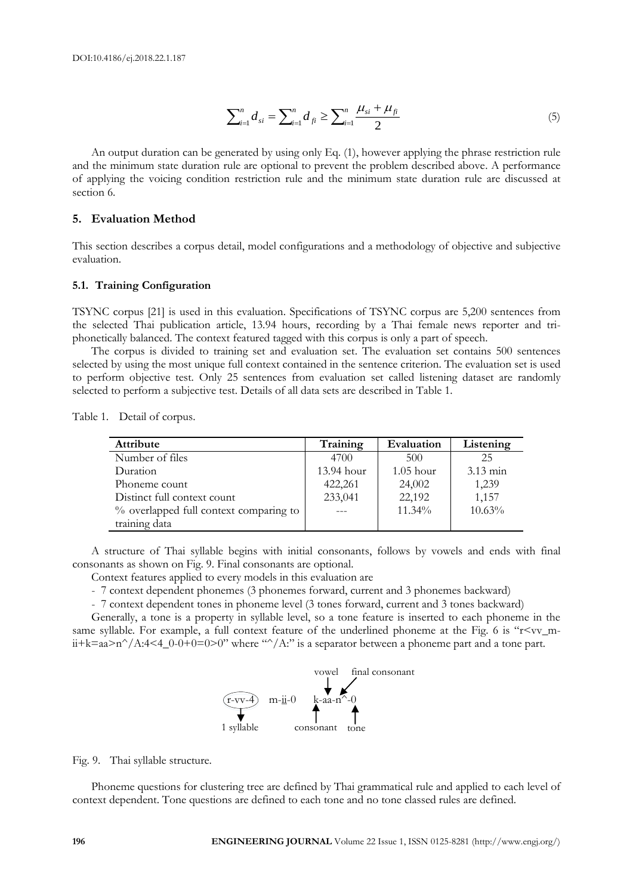$$
\sum_{i=1}^{n} d_{si} = \sum_{i=1}^{n} d_{fi} \ge \sum_{i=1}^{n} \frac{\mu_{si} + \mu_{fi}}{2}
$$
 (5)

# **5. Evaluation Method**

#### **5.1. Training Configuration**

| $\sum_{i=1}^n d_{si} = \sum_{i=1}^n d_{fi} \ge \sum_{i=1}^n \frac{\mu_{si} + \mu_{fi}}{2}$                                                                                                                                                                                                                                                                                                                                                                                                                                                                                                                                                                                                                                                                                                                                                                                                                                   |                    |                 | (5)                                                                          |
|------------------------------------------------------------------------------------------------------------------------------------------------------------------------------------------------------------------------------------------------------------------------------------------------------------------------------------------------------------------------------------------------------------------------------------------------------------------------------------------------------------------------------------------------------------------------------------------------------------------------------------------------------------------------------------------------------------------------------------------------------------------------------------------------------------------------------------------------------------------------------------------------------------------------------|--------------------|-----------------|------------------------------------------------------------------------------|
| An output duration can be generated by using only Eq. (1), however applying the phrase restriction rule<br>and the minimum state duration rule are optional to prevent the problem described above. A performance<br>of applying the voicing condition restriction rule and the minimum state duration rule are discussed at<br>section 6.                                                                                                                                                                                                                                                                                                                                                                                                                                                                                                                                                                                   |                    |                 |                                                                              |
| 5. Evaluation Method                                                                                                                                                                                                                                                                                                                                                                                                                                                                                                                                                                                                                                                                                                                                                                                                                                                                                                         |                    |                 |                                                                              |
| This section describes a corpus detail, model configurations and a methodology of objective and subjective<br>evaluation.                                                                                                                                                                                                                                                                                                                                                                                                                                                                                                                                                                                                                                                                                                                                                                                                    |                    |                 |                                                                              |
| 5.1. Training Configuration                                                                                                                                                                                                                                                                                                                                                                                                                                                                                                                                                                                                                                                                                                                                                                                                                                                                                                  |                    |                 |                                                                              |
| TSYNC corpus [21] is used in this evaluation. Specifications of TSYNC corpus are 5,200 sentences from<br>the selected Thai publication article, 13.94 hours, recording by a Thai female news reporter and tri-<br>phonetically balanced. The context featured tagged with this corpus is only a part of speech.<br>The corpus is divided to training set and evaluation set. The evaluation set contains 500 sentences<br>selected by using the most unique full context contained in the sentence criterion. The evaluation set is used<br>to perform objective test. Only 25 sentences from evaluation set called listening dataset are randomly<br>selected to perform a subjective test. Details of all data sets are described in Table 1.<br>Table 1. Detail of corpus.                                                                                                                                                |                    |                 |                                                                              |
| Attribute                                                                                                                                                                                                                                                                                                                                                                                                                                                                                                                                                                                                                                                                                                                                                                                                                                                                                                                    | Training           | Evaluation      | Listening                                                                    |
| Number of files                                                                                                                                                                                                                                                                                                                                                                                                                                                                                                                                                                                                                                                                                                                                                                                                                                                                                                              | 4700               | 500             | 25                                                                           |
| Duration                                                                                                                                                                                                                                                                                                                                                                                                                                                                                                                                                                                                                                                                                                                                                                                                                                                                                                                     | 13.94 hour         | $1.05$ hour     | 3.13 min                                                                     |
| Phoneme count                                                                                                                                                                                                                                                                                                                                                                                                                                                                                                                                                                                                                                                                                                                                                                                                                                                                                                                | 422,261            | 24,002          | 1,239                                                                        |
| Distinct full context count                                                                                                                                                                                                                                                                                                                                                                                                                                                                                                                                                                                                                                                                                                                                                                                                                                                                                                  | 233,041            | 22,192          | 1,157                                                                        |
| % overlapped full context comparing to<br>training data                                                                                                                                                                                                                                                                                                                                                                                                                                                                                                                                                                                                                                                                                                                                                                                                                                                                      | $\frac{1}{2}$      | 11.34%          | 10.63%                                                                       |
| A structure of Thai syllable begins with initial consonants, follows by vowels and ends with final<br>consonants as shown on Fig. 9. Final consonants are optional.<br>Context features applied to every models in this evaluation are<br>- 7 context dependent phonemes (3 phonemes forward, current and 3 phonemes backward)<br>- 7 context dependent tones in phoneme level (3 tones forward, current and 3 tones backward)<br>Generally, a tone is a property in syllable level, so a tone feature is inserted to each phoneme in the<br>same syllable. For example, a full context feature of the underlined phoneme at the Fig. 6 is "r <vv_m-<br><math>i</math>i+k=aa&gt;n^/A:4&lt;4_0-0+0=0&gt;0" where "^/A:" is a separator between a phoneme part and a tone part.<br/><math>\begin{array}{ccc}\n\sqrt{r-vv-4} &amp; m-\underline{ii}-0 &amp; k-a^2-n^2-0 \\ \hline\n\end{array}</math><br/>1 syllable</vv_m-<br> | vowel<br>consonant | final consonant |                                                                              |
| Fig. 9. Thai syllable structure.                                                                                                                                                                                                                                                                                                                                                                                                                                                                                                                                                                                                                                                                                                                                                                                                                                                                                             |                    |                 |                                                                              |
| Phoneme questions for clustering tree are defined by Thai grammatical rule and applied to each level of<br>context dependent. Tone questions are defined to each tone and no tone classed rules are defined.                                                                                                                                                                                                                                                                                                                                                                                                                                                                                                                                                                                                                                                                                                                 |                    |                 |                                                                              |
| 196                                                                                                                                                                                                                                                                                                                                                                                                                                                                                                                                                                                                                                                                                                                                                                                                                                                                                                                          |                    |                 | ENGINEERING JOURNAL Volume 22 Issue 1, ISSN 0125-8281 (http://www.engj.org/) |

![](_page_9_Figure_15.jpeg)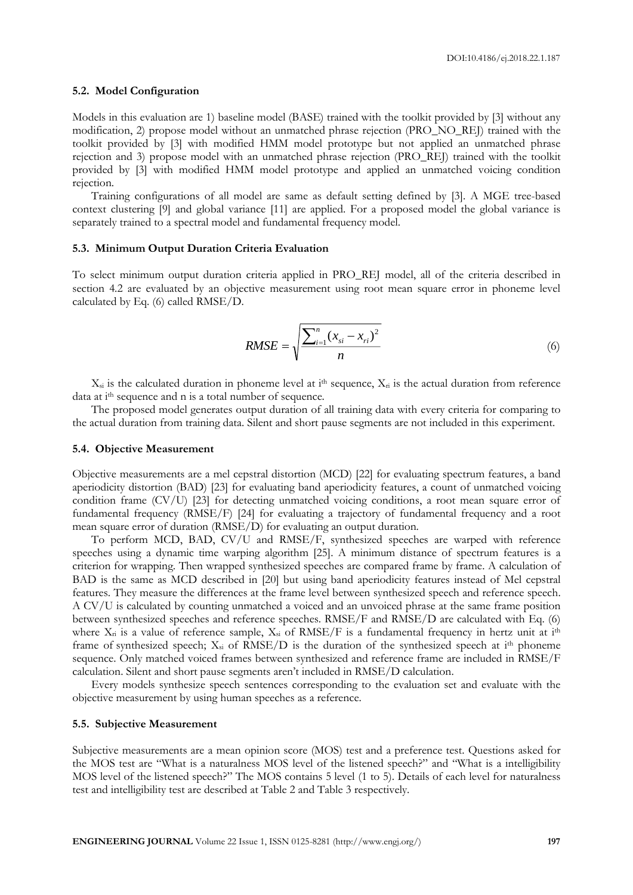#### **5.2. Model Configuration**

Models in this evaluation are 1) baseline model (BASE) trained with the toolkit provided by [3] without any modification, 2) propose model without an unmatched phrase rejection (PRO\_NO\_REJ) trained with the toolkit provided by [3] with modified HMM model prototype but not applied an unmatched phrase rejection and 3) propose model with an unmatched phrase rejection (PRO\_REJ) trained with the toolkit provided by [3] with modified HMM model prototype and applied an unmatched voicing condition rejection.

Training configurations of all model are same as default setting defined by [3]. A MGE tree-based context clustering [9] and global variance [11] are applied. For a proposed model the global variance is separately trained to a spectral model and fundamental frequency model.

# **5.3. Minimum Output Duration Criteria Evaluation**

To select minimum output duration criteria applied in PRO\_REJ model, all of the criteria described in section 4.2 are evaluated by an objective measurement using root mean square error in phoneme level calculated by Eq. (6) called RMSE/D.

$$
RMSE = \sqrt{\frac{\sum_{i=1}^{n} (x_{si} - x_{ri})^2}{n}}
$$
 (6)

 $X_{si}$  is the calculated duration in phoneme level at i<sup>th</sup> sequence,  $X_{ri}$  is the actual duration from reference data at i<sup>th</sup> sequence and n is a total number of sequence.

The proposed model generates output duration of all training data with every criteria for comparing to the actual duration from training data. Silent and short pause segments are not included in this experiment.

#### **5.4. Objective Measurement**

Objective measurements are a mel cepstral distortion (MCD) [22] for evaluating spectrum features, a band aperiodicity distortion (BAD) [23] for evaluating band aperiodicity features, a count of unmatched voicing condition frame (CV/U) [23] for detecting unmatched voicing conditions, a root mean square error of fundamental frequency (RMSE/F) [24] for evaluating a trajectory of fundamental frequency and a root mean square error of duration (RMSE/D) for evaluating an output duration.

To perform MCD, BAD, CV/U and RMSE/F, synthesized speeches are warped with reference speeches using a dynamic time warping algorithm [25]. A minimum distance of spectrum features is a criterion for wrapping. Then wrapped synthesized speeches are compared frame by frame. A calculation of BAD is the same as MCD described in [20] but using band aperiodicity features instead of Mel cepstral features. They measure the differences at the frame level between synthesized speech and reference speech. A CV/U is calculated by counting unmatched a voiced and an unvoiced phrase at the same frame position between synthesized speeches and reference speeches. RMSE/F and RMSE/D are calculated with Eq. (6) where  $X_{ri}$  is a value of reference sample,  $X_{si}$  of RMSE/F is a fundamental frequency in hertz unit at i<sup>th</sup> frame of synthesized speech;  $X_{si}$  of RMSE/D is the duration of the synthesized speech at i<sup>th</sup> phoneme sequence. Only matched voiced frames between synthesized and reference frame are included in RMSE/F calculation. Silent and short pause segments aren't included in RMSE/D calculation.

Every models synthesize speech sentences corresponding to the evaluation set and evaluate with the objective measurement by using human speeches as a reference.

#### **5.5. Subjective Measurement**

Subjective measurements are a mean opinion score (MOS) test and a preference test. Questions asked for the MOS test are "What is a naturalness MOS level of the listened speech?" and "What is a intelligibility MOS level of the listened speech?" The MOS contains 5 level (1 to 5). Details of each level for naturalness test and intelligibility test are described at Table 2 and Table 3 respectively.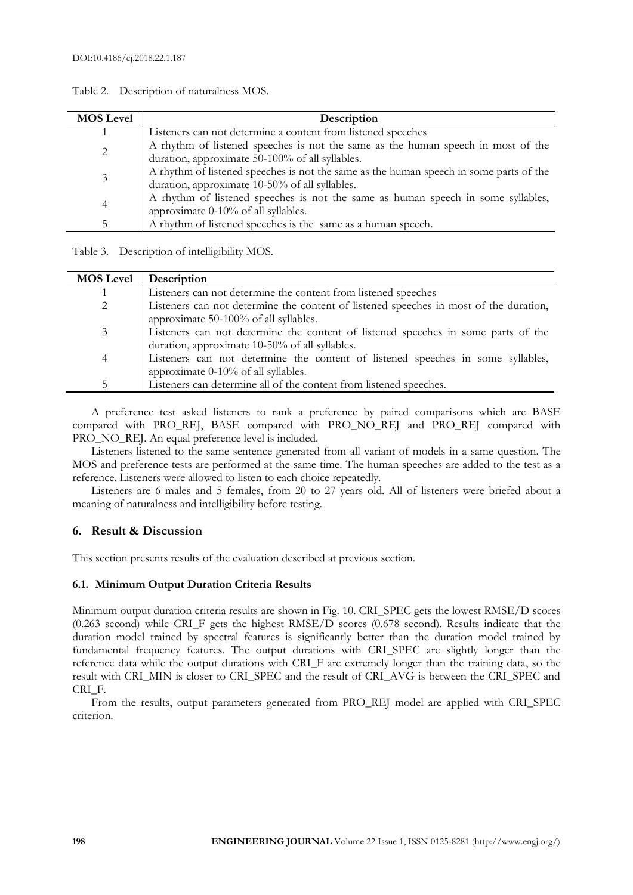| <b>MOS Level</b> | Description                                                                            |
|------------------|----------------------------------------------------------------------------------------|
|                  | Listeners can not determine a content from listened speeches                           |
| 2                | A rhythm of listened speeches is not the same as the human speech in most of the       |
|                  | duration, approximate 50-100% of all syllables.                                        |
| 3                | A rhythm of listened speeches is not the same as the human speech in some parts of the |
|                  | duration, approximate 10-50% of all syllables.                                         |
|                  | A rhythm of listened speeches is not the same as human speech in some syllables,       |
| 4                | approximate 0-10% of all syllables.                                                    |
|                  | A rhythm of listened speeches is the same as a human speech.                           |

| Table 2.<br>Description of naturalness MOS. |
|---------------------------------------------|
|---------------------------------------------|

Table 3. Description of intelligibility MOS.

| <b>MOS Level</b> | Description                                                                           |
|------------------|---------------------------------------------------------------------------------------|
|                  | Listeners can not determine the content from listened speeches                        |
| 2                | Listeners can not determine the content of listened speeches in most of the duration, |
|                  | approximate 50-100% of all syllables.                                                 |
| 3                | Listeners can not determine the content of listened speeches in some parts of the     |
|                  | duration, approximate 10-50% of all syllables.                                        |
| 4                | Listeners can not determine the content of listened speeches in some syllables,       |
|                  | approximate 0-10% of all syllables.                                                   |
|                  | Listeners can determine all of the content from listened speeches.                    |

A preference test asked listeners to rank a preference by paired comparisons which are BASE compared with PRO\_REJ, BASE compared with PRO\_NO\_REJ and PRO\_REJ compared with PRO\_NO\_REJ. An equal preference level is included.

Listeners listened to the same sentence generated from all variant of models in a same question. The MOS and preference tests are performed at the same time. The human speeches are added to the test as a reference. Listeners were allowed to listen to each choice repeatedly.

Listeners are 6 males and 5 females, from 20 to 27 years old. All of listeners were briefed about a meaning of naturalness and intelligibility before testing.

# **6. Result & Discussion**

This section presents results of the evaluation described at previous section.

# **6.1. Minimum Output Duration Criteria Results**

Minimum output duration criteria results are shown in Fig. 10. CRI\_SPEC gets the lowest RMSE/D scores (0.263 second) while CRI\_F gets the highest RMSE/D scores (0.678 second). Results indicate that the duration model trained by spectral features is significantly better than the duration model trained by fundamental frequency features. The output durations with CRI\_SPEC are slightly longer than the reference data while the output durations with CRI\_F are extremely longer than the training data, so the result with CRI\_MIN is closer to CRI\_SPEC and the result of CRI\_AVG is between the CRI\_SPEC and CRI\_F.

From the results, output parameters generated from PRO\_REJ model are applied with CRI\_SPEC criterion.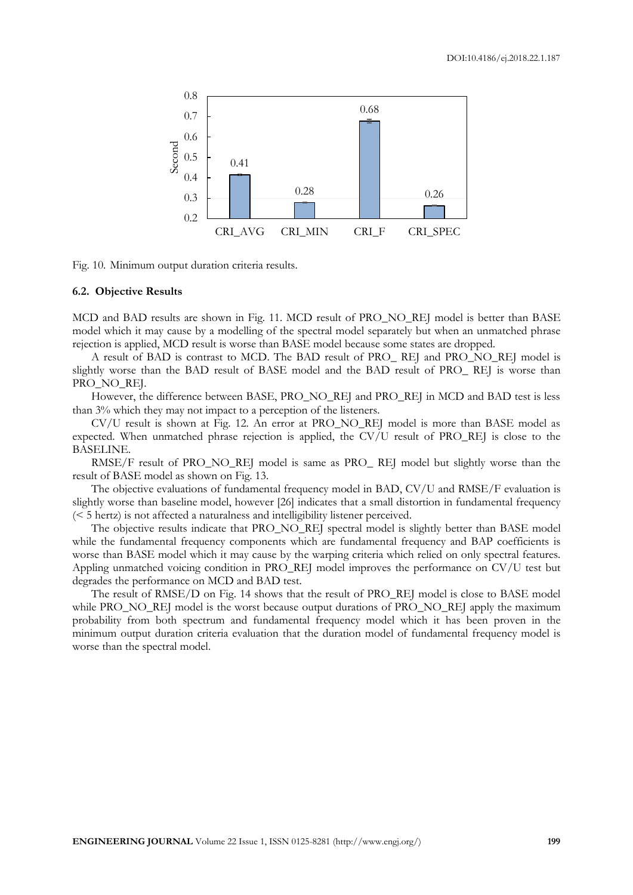![](_page_12_Figure_1.jpeg)

Fig. 10. Minimum output duration criteria results.

#### **6.2. Objective Results**

MCD and BAD results are shown in Fig. 11. MCD result of PRO\_NO\_REJ model is better than BASE model which it may cause by a modelling of the spectral model separately but when an unmatched phrase rejection is applied, MCD result is worse than BASE model because some states are dropped.

A result of BAD is contrast to MCD. The BAD result of PRO\_ REJ and PRO\_NO\_REJ model is slightly worse than the BAD result of BASE model and the BAD result of PRO\_ REJ is worse than PRO\_NO\_REJ.

However, the difference between BASE, PRO\_NO\_REJ and PRO\_REJ in MCD and BAD test is less than 3% which they may not impact to a perception of the listeners.

CV/U result is shown at Fig. 12. An error at PRO\_NO\_REJ model is more than BASE model as expected. When unmatched phrase rejection is applied, the CV/U result of PRO\_REJ is close to the BASELINE.

RMSE/F result of PRO\_NO\_REJ model is same as PRO\_ REJ model but slightly worse than the result of BASE model as shown on Fig. 13.

The objective evaluations of fundamental frequency model in BAD, CV/U and RMSE/F evaluation is slightly worse than baseline model, however [26] indicates that a small distortion in fundamental frequency (< 5 hertz) is not affected a naturalness and intelligibility listener perceived.

The objective results indicate that PRO\_NO\_REJ spectral model is slightly better than BASE model while the fundamental frequency components which are fundamental frequency and BAP coefficients is worse than BASE model which it may cause by the warping criteria which relied on only spectral features. Appling unmatched voicing condition in PRO\_REJ model improves the performance on CV/U test but degrades the performance on MCD and BAD test.

The result of RMSE/D on Fig. 14 shows that the result of PRO\_REJ model is close to BASE model while PRO\_NO\_REJ model is the worst because output durations of PRO\_NO\_REJ apply the maximum probability from both spectrum and fundamental frequency model which it has been proven in the minimum output duration criteria evaluation that the duration model of fundamental frequency model is worse than the spectral model.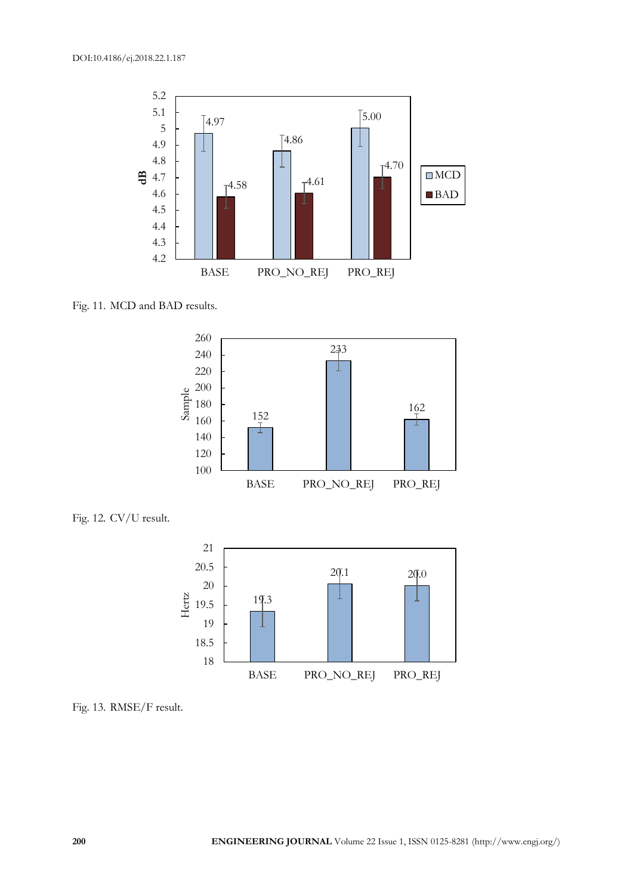![](_page_13_Figure_1.jpeg)

Fig. 11. MCD and BAD results.

![](_page_13_Figure_3.jpeg)

Fig. 12. CV/U result.

![](_page_13_Figure_5.jpeg)

Fig. 13. RMSE/F result.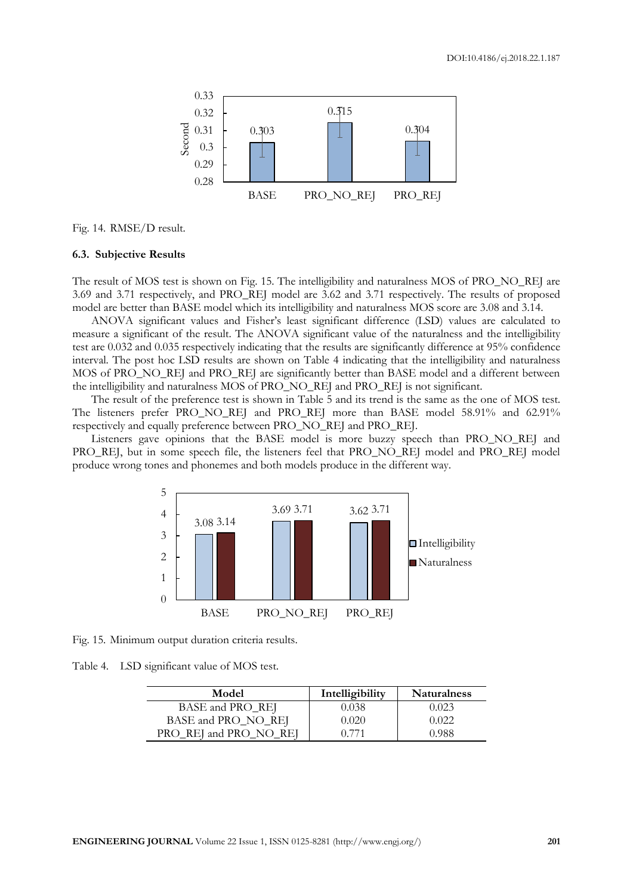![](_page_14_Figure_1.jpeg)

Fig. 14. RMSE/D result.

#### **6.3. Subjective Results**

The result of MOS test is shown on Fig. 15. The intelligibility and naturalness MOS of PRO\_NO\_REJ are 3.69 and 3.71 respectively, and PRO\_REJ model are 3.62 and 3.71 respectively. The results of proposed model are better than BASE model which its intelligibility and naturalness MOS score are 3.08 and 3.14.

ANOVA significant values and Fisher's least significant difference (LSD) values are calculated to measure a significant of the result. The ANOVA significant value of the naturalness and the intelligibility test are 0.032 and 0.035 respectively indicating that the results are significantly difference at 95% confidence interval. The post hoc LSD results are shown on Table 4 indicating that the intelligibility and naturalness MOS of PRO\_NO\_REJ and PRO\_REJ are significantly better than BASE model and a different between the intelligibility and naturalness MOS of PRO\_NO\_REJ and PRO\_REJ is not significant.

The result of the preference test is shown in Table 5 and its trend is the same as the one of MOS test. The listeners prefer PRO\_NO\_REJ and PRO\_REJ more than BASE model 58.91% and 62.91% respectively and equally preference between PRO\_NO\_REJ and PRO\_REJ.

Listeners gave opinions that the BASE model is more buzzy speech than PRO\_NO\_REJ and PRO\_REJ, but in some speech file, the listeners feel that PRO\_NO\_REJ model and PRO\_REJ model produce wrong tones and phonemes and both models produce in the different way.

![](_page_14_Figure_8.jpeg)

Fig. 15. Minimum output duration criteria results.

Table 4. LSD significant value of MOS test.

| Model                  | Intelligibility | <b>Naturalness</b> |
|------------------------|-----------------|--------------------|
| BASE and PRO_REJ       | 0.038           | 0.023              |
| BASE and PRO_NO_REJ    | 0.020           | 0.022              |
| PRO_REJ and PRO_NO_REJ | 0.771           | 0.988              |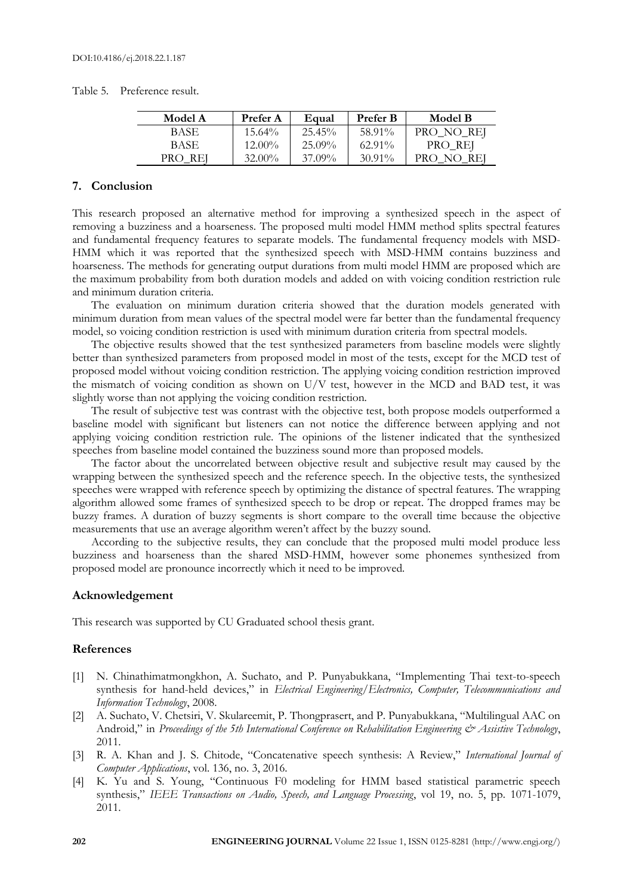Table 5. Preference result.

| Model A | Prefer A  | Equal     | Prefer B  | Model B    |
|---------|-----------|-----------|-----------|------------|
| BASE.   | $15.64\%$ | $25.45\%$ | 58.91%    | PRO_NO_REJ |
| BASE    | $12.00\%$ | 25.09%    | $62.91\%$ | PRO REJ    |
| PRO REI | 32.00%    | 37.09%    | $30.91\%$ | PRO NO REJ |

# **7. Conclusion**

This research proposed an alternative method for improving a synthesized speech in the aspect of removing a buzziness and a hoarseness. The proposed multi model HMM method splits spectral features and fundamental frequency features to separate models. The fundamental frequency models with MSD-HMM which it was reported that the synthesized speech with MSD-HMM contains buzziness and hoarseness. The methods for generating output durations from multi model HMM are proposed which are the maximum probability from both duration models and added on with voicing condition restriction rule and minimum duration criteria.

The evaluation on minimum duration criteria showed that the duration models generated with minimum duration from mean values of the spectral model were far better than the fundamental frequency model, so voicing condition restriction is used with minimum duration criteria from spectral models.

The objective results showed that the test synthesized parameters from baseline models were slightly better than synthesized parameters from proposed model in most of the tests, except for the MCD test of proposed model without voicing condition restriction. The applying voicing condition restriction improved the mismatch of voicing condition as shown on  $U/V$  test, however in the MCD and BAD test, it was slightly worse than not applying the voicing condition restriction.

The result of subjective test was contrast with the objective test, both propose models outperformed a baseline model with significant but listeners can not notice the difference between applying and not applying voicing condition restriction rule. The opinions of the listener indicated that the synthesized speeches from baseline model contained the buzziness sound more than proposed models.

The factor about the uncorrelated between objective result and subjective result may caused by the wrapping between the synthesized speech and the reference speech. In the objective tests, the synthesized speeches were wrapped with reference speech by optimizing the distance of spectral features. The wrapping algorithm allowed some frames of synthesized speech to be drop or repeat. The dropped frames may be buzzy frames. A duration of buzzy segments is short compare to the overall time because the objective measurements that use an average algorithm weren't affect by the buzzy sound.

According to the subjective results, they can conclude that the proposed multi model produce less buzziness and hoarseness than the shared MSD-HMM, however some phonemes synthesized from proposed model are pronounce incorrectly which it need to be improved.

#### **Acknowledgement**

This research was supported by CU Graduated school thesis grant.

#### **References**

- [1] N. Chinathimatmongkhon, A. Suchato, and P. Punyabukkana, "Implementing Thai text-to-speech synthesis for hand-held devices," in *Electrical Engineering/Electronics, Computer, Telecommunications and Information Technology*, 2008.
- [2] A. Suchato, V. Chetsiri, V. Skulareemit, P. Thongprasert, and P. Punyabukkana, "Multilingual AAC on Android," in *Proceedings of the 5th International Conference on Rehabilitation Engineering & Assistive Technology*, 2011.
- [3] R. A. Khan and J. S. Chitode, "Concatenative speech synthesis: A Review," *International Journal of Computer Applications*, vol. 136, no. 3, 2016.
- [4] K. Yu and S. Young, "Continuous F0 modeling for HMM based statistical parametric speech synthesis," *IEEE Transactions on Audio, Speech, and Language Processing*, vol 19, no. 5, pp. 1071-1079, 2011.